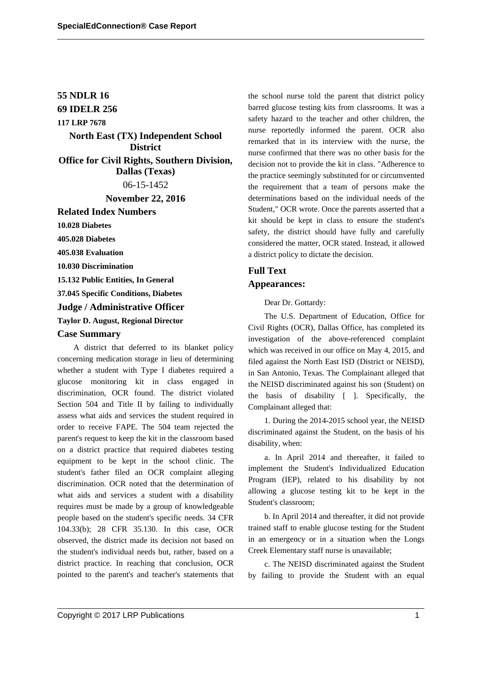# **55 NDLR 16**

# **69 IDELR 256**

### **117 LRP 7678**

**North East (TX) Independent School District Office for Civil Rights, Southern Division, Dallas (Texas)**

06-15-1452

**November 22, 2016**

**Related Index Numbers**

**10.028 Diabetes**

**405.028 Diabetes**

**405.038 Evaluation**

**10.030 Discrimination**

**15.132 Public Entities, In General**

**37.045 Specific Conditions, Diabetes**

#### **Judge / Administrative Officer**

### **Taylor D. August, Regional Director**

#### **Case Summary**

A district that deferred to its blanket policy concerning medication storage in lieu of determining whether a student with Type I diabetes required a glucose monitoring kit in class engaged in discrimination, OCR found. The district violated Section 504 and Title II by failing to individually assess what aids and services the student required in order to receive FAPE. The 504 team rejected the parent's request to keep the kit in the classroom based on a district practice that required diabetes testing equipment to be kept in the school clinic. The student's father filed an OCR complaint alleging discrimination. OCR noted that the determination of what aids and services a student with a disability requires must be made by a group of knowledgeable people based on the student's specific needs. 34 CFR 104.33(b); 28 CFR 35.130. In this case, OCR observed, the district made its decision not based on the student's individual needs but, rather, based on a district practice. In reaching that conclusion, OCR pointed to the parent's and teacher's statements that the school nurse told the parent that district policy barred glucose testing kits from classrooms. It was a safety hazard to the teacher and other children, the nurse reportedly informed the parent. OCR also remarked that in its interview with the nurse, the nurse confirmed that there was no other basis for the decision not to provide the kit in class. "Adherence to the practice seemingly substituted for or circumvented the requirement that a team of persons make the determinations based on the individual needs of the Student," OCR wrote. Once the parents asserted that a kit should be kept in class to ensure the student's safety, the district should have fully and carefully considered the matter, OCR stated. Instead, it allowed a district policy to dictate the decision.

# **Full Text Appearances:**

Dear Dr. Gottardy:

The U.S. Department of Education, Office for Civil Rights (OCR), Dallas Office, has completed its investigation of the above-referenced complaint which was received in our office on May 4, 2015, and filed against the North East ISD (District or NEISD), in San Antonio, Texas. The Complainant alleged that the NEISD discriminated against his son (Student) on the basis of disability [ ]. Specifically, the Complainant alleged that:

1. During the 2014-2015 school year, the NEISD discriminated against the Student, on the basis of his disability, when:

a. In April 2014 and thereafter, it failed to implement the Student's Individualized Education Program (IEP), related to his disability by not allowing a glucose testing kit to be kept in the Student's classroom;

b. In April 2014 and thereafter, it did not provide trained staff to enable glucose testing for the Student in an emergency or in a situation when the Longs Creek Elementary staff nurse is unavailable;

c. The NEISD discriminated against the Student by failing to provide the Student with an equal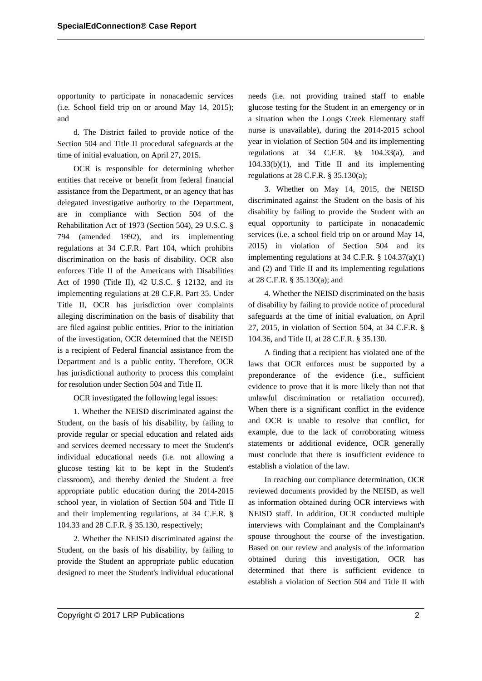opportunity to participate in nonacademic services (i.e. School field trip on or around May 14, 2015); and

d. The District failed to provide notice of the Section 504 and Title II procedural safeguards at the time of initial evaluation, on April 27, 2015.

OCR is responsible for determining whether entities that receive or benefit from federal financial assistance from the Department, or an agency that has delegated investigative authority to the Department, are in compliance with Section 504 of the Rehabilitation Act of 1973 (Section 504), 29 U.S.C. § 794 (amended 1992), and its implementing regulations at 34 C.F.R. Part 104, which prohibits discrimination on the basis of disability. OCR also enforces Title II of the Americans with Disabilities Act of 1990 (Title II), 42 U.S.C. § 12132, and its implementing regulations at 28 C.F.R. Part 35. Under Title II, OCR has jurisdiction over complaints alleging discrimination on the basis of disability that are filed against public entities. Prior to the initiation of the investigation, OCR determined that the NEISD is a recipient of Federal financial assistance from the Department and is a public entity. Therefore, OCR has jurisdictional authority to process this complaint for resolution under Section 504 and Title II.

OCR investigated the following legal issues:

1. Whether the NEISD discriminated against the Student, on the basis of his disability, by failing to provide regular or special education and related aids and services deemed necessary to meet the Student's individual educational needs (i.e. not allowing a glucose testing kit to be kept in the Student's classroom), and thereby denied the Student a free appropriate public education during the 2014-2015 school year, in violation of Section 504 and Title II and their implementing regulations, at 34 C.F.R. § 104.33 and 28 C.F.R. § 35.130, respectively;

2. Whether the NEISD discriminated against the Student, on the basis of his disability, by failing to provide the Student an appropriate public education designed to meet the Student's individual educational needs (i.e. not providing trained staff to enable glucose testing for the Student in an emergency or in a situation when the Longs Creek Elementary staff nurse is unavailable), during the 2014-2015 school year in violation of Section 504 and its implementing regulations at 34 C.F.R. §§ 104.33(a), and 104.33(b)(1), and Title II and its implementing regulations at 28 C.F.R. § 35.130(a);

3. Whether on May 14, 2015, the NEISD discriminated against the Student on the basis of his disability by failing to provide the Student with an equal opportunity to participate in nonacademic services (i.e. a school field trip on or around May 14, 2015) in violation of Section 504 and its implementing regulations at 34 C.F.R. § 104.37(a)(1) and (2) and Title II and its implementing regulations at 28 C.F.R. § 35.130(a); and

4. Whether the NEISD discriminated on the basis of disability by failing to provide notice of procedural safeguards at the time of initial evaluation, on April 27, 2015, in violation of Section 504, at 34 C.F.R. § 104.36, and Title II, at 28 C.F.R. § 35.130.

A finding that a recipient has violated one of the laws that OCR enforces must be supported by a preponderance of the evidence (i.e., sufficient evidence to prove that it is more likely than not that unlawful discrimination or retaliation occurred). When there is a significant conflict in the evidence and OCR is unable to resolve that conflict, for example, due to the lack of corroborating witness statements or additional evidence, OCR generally must conclude that there is insufficient evidence to establish a violation of the law.

In reaching our compliance determination, OCR reviewed documents provided by the NEISD, as well as information obtained during OCR interviews with NEISD staff. In addition, OCR conducted multiple interviews with Complainant and the Complainant's spouse throughout the course of the investigation. Based on our review and analysis of the information obtained during this investigation, OCR has determined that there is sufficient evidence to establish a violation of Section 504 and Title II with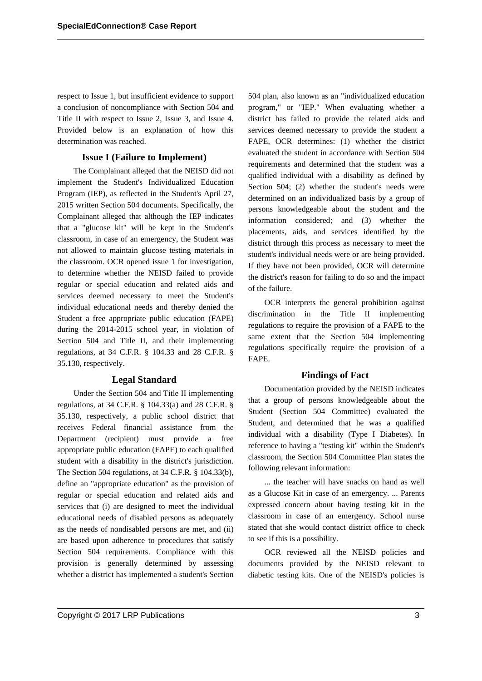respect to Issue 1, but insufficient evidence to support a conclusion of noncompliance with Section 504 and Title II with respect to Issue 2, Issue 3, and Issue 4. Provided below is an explanation of how this determination was reached.

### **Issue I (Failure to Implement)**

The Complainant alleged that the NEISD did not implement the Student's Individualized Education Program (IEP), as reflected in the Student's April 27, 2015 written Section 504 documents. Specifically, the Complainant alleged that although the IEP indicates that a "glucose kit" will be kept in the Student's classroom, in case of an emergency, the Student was not allowed to maintain glucose testing materials in the classroom. OCR opened issue 1 for investigation, to determine whether the NEISD failed to provide regular or special education and related aids and services deemed necessary to meet the Student's individual educational needs and thereby denied the Student a free appropriate public education (FAPE) during the 2014-2015 school year, in violation of Section 504 and Title II, and their implementing regulations, at 34 C.F.R. § 104.33 and 28 C.F.R. § 35.130, respectively.

### **Legal Standard**

Under the Section 504 and Title II implementing regulations, at 34 C.F.R. § 104.33(a) and 28 C.F.R. § 35.130, respectively, a public school district that receives Federal financial assistance from the Department (recipient) must provide a free appropriate public education (FAPE) to each qualified student with a disability in the district's jurisdiction. The Section 504 regulations, at 34 C.F.R. § 104.33(b), define an "appropriate education" as the provision of regular or special education and related aids and services that (i) are designed to meet the individual educational needs of disabled persons as adequately as the needs of nondisabled persons are met, and (ii) are based upon adherence to procedures that satisfy Section 504 requirements. Compliance with this provision is generally determined by assessing whether a district has implemented a student's Section

504 plan, also known as an "individualized education program," or "IEP." When evaluating whether a district has failed to provide the related aids and services deemed necessary to provide the student a FAPE, OCR determines: (1) whether the district evaluated the student in accordance with Section 504 requirements and determined that the student was a qualified individual with a disability as defined by Section 504; (2) whether the student's needs were determined on an individualized basis by a group of persons knowledgeable about the student and the information considered; and (3) whether the placements, aids, and services identified by the district through this process as necessary to meet the student's individual needs were or are being provided. If they have not been provided, OCR will determine the district's reason for failing to do so and the impact of the failure.

OCR interprets the general prohibition against discrimination in the Title II implementing regulations to require the provision of a FAPE to the same extent that the Section 504 implementing regulations specifically require the provision of a FAPE.

# **Findings of Fact**

Documentation provided by the NEISD indicates that a group of persons knowledgeable about the Student (Section 504 Committee) evaluated the Student, and determined that he was a qualified individual with a disability (Type I Diabetes). In reference to having a "testing kit" within the Student's classroom, the Section 504 Committee Plan states the following relevant information:

... the teacher will have snacks on hand as well as a Glucose Kit in case of an emergency. ... Parents expressed concern about having testing kit in the classroom in case of an emergency. School nurse stated that she would contact district office to check to see if this is a possibility.

OCR reviewed all the NEISD policies and documents provided by the NEISD relevant to diabetic testing kits. One of the NEISD's policies is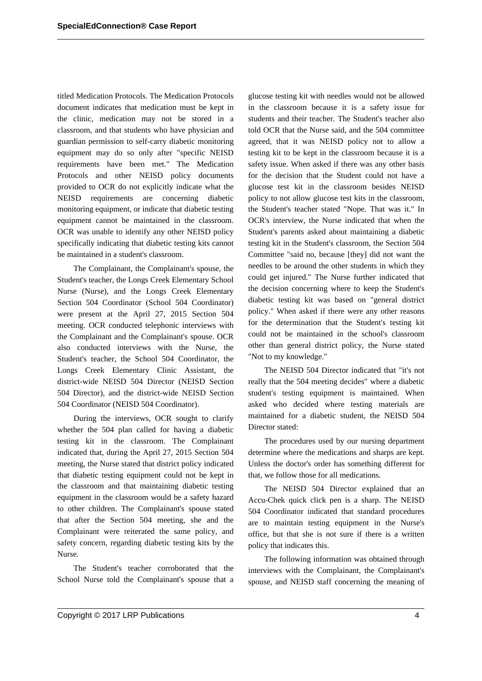titled Medication Protocols. The Medication Protocols document indicates that medication must be kept in the clinic, medication may not be stored in a classroom, and that students who have physician and guardian permission to self-carry diabetic monitoring equipment may do so only after "specific NEISD requirements have been met." The Medication Protocols and other NEISD policy documents provided to OCR do not explicitly indicate what the NEISD requirements are concerning diabetic monitoring equipment, or indicate that diabetic testing equipment cannot be maintained in the classroom. OCR was unable to identify any other NEISD policy specifically indicating that diabetic testing kits cannot be maintained in a student's classroom.

The Complainant, the Complainant's spouse, the Student's teacher, the Longs Creek Elementary School Nurse (Nurse), and the Longs Creek Elementary Section 504 Coordinator (School 504 Coordinator) were present at the April 27, 2015 Section 504 meeting. OCR conducted telephonic interviews with the Complainant and the Complainant's spouse. OCR also conducted interviews with the Nurse, the Student's teacher, the School 504 Coordinator, the Longs Creek Elementary Clinic Assistant, the district-wide NEISD 504 Director (NEISD Section 504 Director), and the district-wide NEISD Section 504 Coordinator (NEISD 504 Coordinator).

During the interviews, OCR sought to clarify whether the 504 plan called for having a diabetic testing kit in the classroom. The Complainant indicated that, during the April 27, 2015 Section 504 meeting, the Nurse stated that district policy indicated that diabetic testing equipment could not be kept in the classroom and that maintaining diabetic testing equipment in the classroom would be a safety hazard to other children. The Complainant's spouse stated that after the Section 504 meeting, she and the Complainant were reiterated the same policy, and safety concern, regarding diabetic testing kits by the Nurse.

The Student's teacher corroborated that the School Nurse told the Complainant's spouse that a

glucose testing kit with needles would not be allowed in the classroom because it is a safety issue for students and their teacher. The Student's teacher also told OCR that the Nurse said, and the 504 committee agreed, that it was NEISD policy not to allow a testing kit to be kept in the classroom because it is a safety issue. When asked if there was any other basis for the decision that the Student could not have a glucose test kit in the classroom besides NEISD policy to not allow glucose test kits in the classroom, the Student's teacher stated "Nope. That was it." In OCR's interview, the Nurse indicated that when the Student's parents asked about maintaining a diabetic testing kit in the Student's classroom, the Section 504 Committee "said no, because [they] did not want the needles to be around the other students in which they could get injured." The Nurse further indicated that the decision concerning where to keep the Student's diabetic testing kit was based on "general district policy." When asked if there were any other reasons for the determination that the Student's testing kit could not be maintained in the school's classroom other than general district policy, the Nurse stated "Not to my knowledge."

The NEISD 504 Director indicated that "it's not really that the 504 meeting decides" where a diabetic student's testing equipment is maintained. When asked who decided where testing materials are maintained for a diabetic student, the NEISD 504 Director stated:

The procedures used by our nursing department determine where the medications and sharps are kept. Unless the doctor's order has something different for that, we follow those for all medications.

The NEISD 504 Director explained that an Accu-Chek quick click pen is a sharp. The NEISD 504 Coordinator indicated that standard procedures are to maintain testing equipment in the Nurse's office, but that she is not sure if there is a written policy that indicates this.

The following information was obtained through interviews with the Complainant, the Complainant's spouse, and NEISD staff concerning the meaning of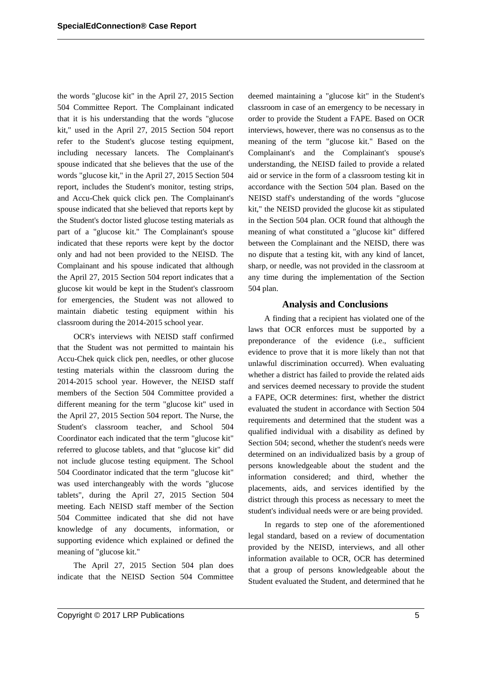the words "glucose kit" in the April 27, 2015 Section 504 Committee Report. The Complainant indicated that it is his understanding that the words "glucose kit," used in the April 27, 2015 Section 504 report refer to the Student's glucose testing equipment, including necessary lancets. The Complainant's spouse indicated that she believes that the use of the words "glucose kit," in the April 27, 2015 Section 504 report, includes the Student's monitor, testing strips, and Accu-Chek quick click pen. The Complainant's spouse indicated that she believed that reports kept by the Student's doctor listed glucose testing materials as part of a "glucose kit." The Complainant's spouse indicated that these reports were kept by the doctor only and had not been provided to the NEISD. The Complainant and his spouse indicated that although the April 27, 2015 Section 504 report indicates that a glucose kit would be kept in the Student's classroom for emergencies, the Student was not allowed to maintain diabetic testing equipment within his classroom during the 2014-2015 school year.

OCR's interviews with NEISD staff confirmed that the Student was not permitted to maintain his Accu-Chek quick click pen, needles, or other glucose testing materials within the classroom during the 2014-2015 school year. However, the NEISD staff members of the Section 504 Committee provided a different meaning for the term "glucose kit" used in the April 27, 2015 Section 504 report. The Nurse, the Student's classroom teacher, and School 504 Coordinator each indicated that the term "glucose kit" referred to glucose tablets, and that "glucose kit" did not include glucose testing equipment. The School 504 Coordinator indicated that the term "glucose kit" was used interchangeably with the words "glucose tablets", during the April 27, 2015 Section 504 meeting. Each NEISD staff member of the Section 504 Committee indicated that she did not have knowledge of any documents, information, or supporting evidence which explained or defined the meaning of "glucose kit."

The April 27, 2015 Section 504 plan does indicate that the NEISD Section 504 Committee deemed maintaining a "glucose kit" in the Student's classroom in case of an emergency to be necessary in order to provide the Student a FAPE. Based on OCR interviews, however, there was no consensus as to the meaning of the term "glucose kit." Based on the Complainant's and the Complainant's spouse's understanding, the NEISD failed to provide a related aid or service in the form of a classroom testing kit in accordance with the Section 504 plan. Based on the NEISD staff's understanding of the words "glucose kit," the NEISD provided the glucose kit as stipulated in the Section 504 plan. OCR found that although the meaning of what constituted a "glucose kit" differed between the Complainant and the NEISD, there was no dispute that a testing kit, with any kind of lancet, sharp, or needle, was not provided in the classroom at any time during the implementation of the Section 504 plan.

### **Analysis and Conclusions**

A finding that a recipient has violated one of the laws that OCR enforces must be supported by a preponderance of the evidence (i.e., sufficient evidence to prove that it is more likely than not that unlawful discrimination occurred). When evaluating whether a district has failed to provide the related aids and services deemed necessary to provide the student a FAPE, OCR determines: first, whether the district evaluated the student in accordance with Section 504 requirements and determined that the student was a qualified individual with a disability as defined by Section 504; second, whether the student's needs were determined on an individualized basis by a group of persons knowledgeable about the student and the information considered; and third, whether the placements, aids, and services identified by the district through this process as necessary to meet the student's individual needs were or are being provided.

In regards to step one of the aforementioned legal standard, based on a review of documentation provided by the NEISD, interviews, and all other information available to OCR, OCR has determined that a group of persons knowledgeable about the Student evaluated the Student, and determined that he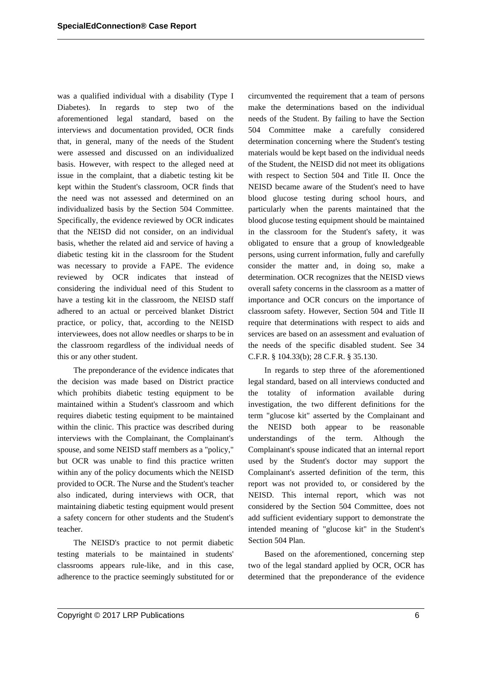was a qualified individual with a disability (Type I Diabetes). In regards to step two of the aforementioned legal standard, based on the interviews and documentation provided, OCR finds that, in general, many of the needs of the Student were assessed and discussed on an individualized basis. However, with respect to the alleged need at issue in the complaint, that a diabetic testing kit be kept within the Student's classroom, OCR finds that the need was not assessed and determined on an individualized basis by the Section 504 Committee. Specifically, the evidence reviewed by OCR indicates that the NEISD did not consider, on an individual basis, whether the related aid and service of having a diabetic testing kit in the classroom for the Student was necessary to provide a FAPE. The evidence reviewed by OCR indicates that instead of considering the individual need of this Student to have a testing kit in the classroom, the NEISD staff adhered to an actual or perceived blanket District practice, or policy, that, according to the NEISD interviewees, does not allow needles or sharps to be in the classroom regardless of the individual needs of this or any other student.

The preponderance of the evidence indicates that the decision was made based on District practice which prohibits diabetic testing equipment to be maintained within a Student's classroom and which requires diabetic testing equipment to be maintained within the clinic. This practice was described during interviews with the Complainant, the Complainant's spouse, and some NEISD staff members as a "policy," but OCR was unable to find this practice written within any of the policy documents which the NEISD provided to OCR. The Nurse and the Student's teacher also indicated, during interviews with OCR, that maintaining diabetic testing equipment would present a safety concern for other students and the Student's teacher.

The NEISD's practice to not permit diabetic testing materials to be maintained in students' classrooms appears rule-like, and in this case, adherence to the practice seemingly substituted for or circumvented the requirement that a team of persons make the determinations based on the individual needs of the Student. By failing to have the Section 504 Committee make a carefully considered determination concerning where the Student's testing materials would be kept based on the individual needs of the Student, the NEISD did not meet its obligations with respect to Section 504 and Title II. Once the NEISD became aware of the Student's need to have blood glucose testing during school hours, and particularly when the parents maintained that the blood glucose testing equipment should be maintained in the classroom for the Student's safety, it was obligated to ensure that a group of knowledgeable persons, using current information, fully and carefully consider the matter and, in doing so, make a determination. OCR recognizes that the NEISD views overall safety concerns in the classroom as a matter of importance and OCR concurs on the importance of classroom safety. However, Section 504 and Title II require that determinations with respect to aids and services are based on an assessment and evaluation of the needs of the specific disabled student. See 34 C.F.R. § 104.33(b); 28 C.F.R. § 35.130.

In regards to step three of the aforementioned legal standard, based on all interviews conducted and the totality of information available during investigation, the two different definitions for the term "glucose kit" asserted by the Complainant and the NEISD both appear to be reasonable understandings of the term. Although the Complainant's spouse indicated that an internal report used by the Student's doctor may support the Complainant's asserted definition of the term, this report was not provided to, or considered by the NEISD. This internal report, which was not considered by the Section 504 Committee, does not add sufficient evidentiary support to demonstrate the intended meaning of "glucose kit" in the Student's Section 504 Plan.

Based on the aforementioned, concerning step two of the legal standard applied by OCR, OCR has determined that the preponderance of the evidence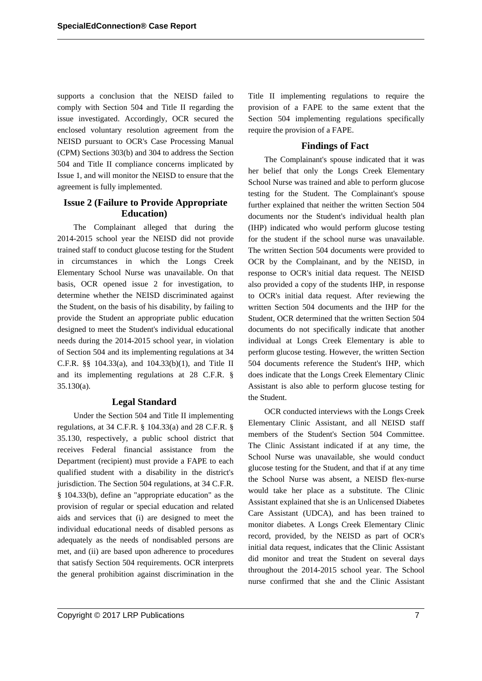supports a conclusion that the NEISD failed to comply with Section 504 and Title II regarding the issue investigated. Accordingly, OCR secured the enclosed voluntary resolution agreement from the NEISD pursuant to OCR's Case Processing Manual (CPM) Sections 303(b) and 304 to address the Section 504 and Title II compliance concerns implicated by Issue 1, and will monitor the NEISD to ensure that the agreement is fully implemented.

# **Issue 2 (Failure to Provide Appropriate Education)**

The Complainant alleged that during the 2014-2015 school year the NEISD did not provide trained staff to conduct glucose testing for the Student in circumstances in which the Longs Creek Elementary School Nurse was unavailable. On that basis, OCR opened issue 2 for investigation, to determine whether the NEISD discriminated against the Student, on the basis of his disability, by failing to provide the Student an appropriate public education designed to meet the Student's individual educational needs during the 2014-2015 school year, in violation of Section 504 and its implementing regulations at 34 C.F.R. §§ 104.33(a), and 104.33(b)(1), and Title II and its implementing regulations at 28 C.F.R. § 35.130(a).

### **Legal Standard**

Under the Section 504 and Title II implementing regulations, at 34 C.F.R. § 104.33(a) and 28 C.F.R. § 35.130, respectively, a public school district that receives Federal financial assistance from the Department (recipient) must provide a FAPE to each qualified student with a disability in the district's jurisdiction. The Section 504 regulations, at 34 C.F.R. § 104.33(b), define an "appropriate education" as the provision of regular or special education and related aids and services that (i) are designed to meet the individual educational needs of disabled persons as adequately as the needs of nondisabled persons are met, and (ii) are based upon adherence to procedures that satisfy Section 504 requirements. OCR interprets the general prohibition against discrimination in the Title II implementing regulations to require the provision of a FAPE to the same extent that the Section 504 implementing regulations specifically require the provision of a FAPE.

# **Findings of Fact**

The Complainant's spouse indicated that it was her belief that only the Longs Creek Elementary School Nurse was trained and able to perform glucose testing for the Student. The Complainant's spouse further explained that neither the written Section 504 documents nor the Student's individual health plan (IHP) indicated who would perform glucose testing for the student if the school nurse was unavailable. The written Section 504 documents were provided to OCR by the Complainant, and by the NEISD, in response to OCR's initial data request. The NEISD also provided a copy of the students IHP, in response to OCR's initial data request. After reviewing the written Section 504 documents and the IHP for the Student, OCR determined that the written Section 504 documents do not specifically indicate that another individual at Longs Creek Elementary is able to perform glucose testing. However, the written Section 504 documents reference the Student's IHP, which does indicate that the Longs Creek Elementary Clinic Assistant is also able to perform glucose testing for the Student.

OCR conducted interviews with the Longs Creek Elementary Clinic Assistant, and all NEISD staff members of the Student's Section 504 Committee. The Clinic Assistant indicated if at any time, the School Nurse was unavailable, she would conduct glucose testing for the Student, and that if at any time the School Nurse was absent, a NEISD flex-nurse would take her place as a substitute. The Clinic Assistant explained that she is an Unlicensed Diabetes Care Assistant (UDCA), and has been trained to monitor diabetes. A Longs Creek Elementary Clinic record, provided, by the NEISD as part of OCR's initial data request, indicates that the Clinic Assistant did monitor and treat the Student on several days throughout the 2014-2015 school year. The School nurse confirmed that she and the Clinic Assistant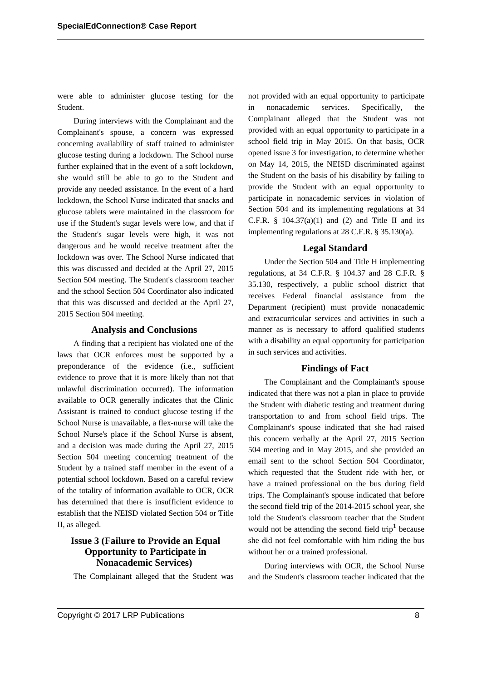were able to administer glucose testing for the Student.

During interviews with the Complainant and the Complainant's spouse, a concern was expressed concerning availability of staff trained to administer glucose testing during a lockdown. The School nurse further explained that in the event of a soft lockdown, she would still be able to go to the Student and provide any needed assistance. In the event of a hard lockdown, the School Nurse indicated that snacks and glucose tablets were maintained in the classroom for use if the Student's sugar levels were low, and that if the Student's sugar levels were high, it was not dangerous and he would receive treatment after the lockdown was over. The School Nurse indicated that this was discussed and decided at the April 27, 2015 Section 504 meeting. The Student's classroom teacher and the school Section 504 Coordinator also indicated that this was discussed and decided at the April 27, 2015 Section 504 meeting.

### **Analysis and Conclusions**

A finding that a recipient has violated one of the laws that OCR enforces must be supported by a preponderance of the evidence (i.e., sufficient evidence to prove that it is more likely than not that unlawful discrimination occurred). The information available to OCR generally indicates that the Clinic Assistant is trained to conduct glucose testing if the School Nurse is unavailable, a flex-nurse will take the School Nurse's place if the School Nurse is absent, and a decision was made during the April 27, 2015 Section 504 meeting concerning treatment of the Student by a trained staff member in the event of a potential school lockdown. Based on a careful review of the totality of information available to OCR, OCR has determined that there is insufficient evidence to establish that the NEISD violated Section 504 or Title II, as alleged.

# **Issue 3 (Failure to Provide an Equal Opportunity to Participate in Nonacademic Services)**

The Complainant alleged that the Student was

not provided with an equal opportunity to participate in nonacademic services. Specifically, the Complainant alleged that the Student was not provided with an equal opportunity to participate in a school field trip in May 2015. On that basis, OCR opened issue 3 for investigation, to determine whether on May 14, 2015, the NEISD discriminated against the Student on the basis of his disability by failing to provide the Student with an equal opportunity to participate in nonacademic services in violation of Section 504 and its implementing regulations at 34 C.F.R.  $§$  104.37(a)(1) and (2) and Title II and its implementing regulations at 28 C.F.R. § 35.130(a).

#### **Legal Standard**

Under the Section 504 and Title H implementing regulations, at 34 C.F.R. § 104.37 and 28 C.F.R. § 35.130, respectively, a public school district that receives Federal financial assistance from the Department (recipient) must provide nonacademic and extracurricular services and activities in such a manner as is necessary to afford qualified students with a disability an equal opportunity for participation in such services and activities.

#### **Findings of Fact**

The Complainant and the Complainant's spouse indicated that there was not a plan in place to provide the Student with diabetic testing and treatment during transportation to and from school field trips. The Complainant's spouse indicated that she had raised this concern verbally at the April 27, 2015 Section 504 meeting and in May 2015, and she provided an email sent to the school Section 504 Coordinator, which requested that the Student ride with her, or have a trained professional on the bus during field trips. The Complainant's spouse indicated that before the second field trip of the 2014-2015 school year, she told the Student's classroom teacher that the Student would not be attending the second field trip**<sup>1</sup>** because she did not feel comfortable with him riding the bus without her or a trained professional.

During interviews with OCR, the School Nurse and the Student's classroom teacher indicated that the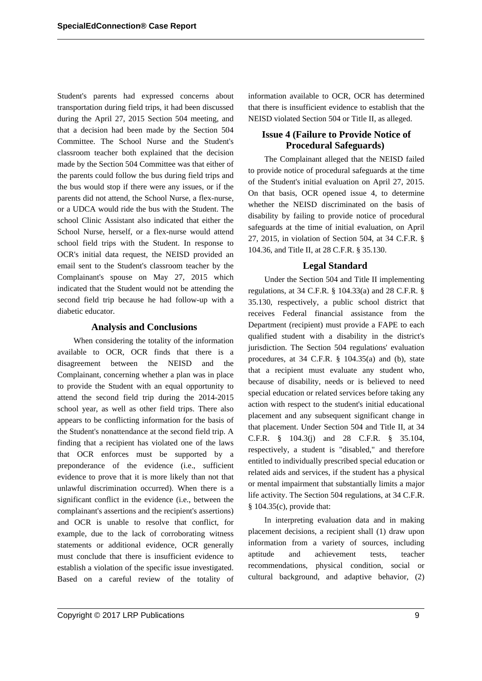Student's parents had expressed concerns about transportation during field trips, it had been discussed during the April 27, 2015 Section 504 meeting, and that a decision had been made by the Section 504 Committee. The School Nurse and the Student's classroom teacher both explained that the decision made by the Section 504 Committee was that either of the parents could follow the bus during field trips and the bus would stop if there were any issues, or if the parents did not attend, the School Nurse, a flex-nurse, or a UDCA would ride the bus with the Student. The school Clinic Assistant also indicated that either the School Nurse, herself, or a flex-nurse would attend school field trips with the Student. In response to OCR's initial data request, the NEISD provided an email sent to the Student's classroom teacher by the Complainant's spouse on May 27, 2015 which indicated that the Student would not be attending the second field trip because he had follow-up with a diabetic educator.

### **Analysis and Conclusions**

When considering the totality of the information available to OCR, OCR finds that there is a disagreement between the NEISD and the Complainant, concerning whether a plan was in place to provide the Student with an equal opportunity to attend the second field trip during the 2014-2015 school year, as well as other field trips. There also appears to be conflicting information for the basis of the Student's nonattendance at the second field trip. A finding that a recipient has violated one of the laws that OCR enforces must be supported by a preponderance of the evidence (i.e., sufficient evidence to prove that it is more likely than not that unlawful discrimination occurred). When there is a significant conflict in the evidence (i.e., between the complainant's assertions and the recipient's assertions) and OCR is unable to resolve that conflict, for example, due to the lack of corroborating witness statements or additional evidence, OCR generally must conclude that there is insufficient evidence to establish a violation of the specific issue investigated. Based on a careful review of the totality of information available to OCR, OCR has determined that there is insufficient evidence to establish that the NEISD violated Section 504 or Title II, as alleged.

# **Issue 4 (Failure to Provide Notice of Procedural Safeguards)**

The Complainant alleged that the NEISD failed to provide notice of procedural safeguards at the time of the Student's initial evaluation on April 27, 2015. On that basis, OCR opened issue 4, to determine whether the NEISD discriminated on the basis of disability by failing to provide notice of procedural safeguards at the time of initial evaluation, on April 27, 2015, in violation of Section 504, at 34 C.F.R. § 104.36, and Title II, at 28 C.F.R. § 35.130.

### **Legal Standard**

Under the Section 504 and Title II implementing regulations, at 34 C.F.R. § 104.33(a) and 28 C.F.R. § 35.130, respectively, a public school district that receives Federal financial assistance from the Department (recipient) must provide a FAPE to each qualified student with a disability in the district's jurisdiction. The Section 504 regulations' evaluation procedures, at 34 C.F.R. § 104.35(a) and (b), state that a recipient must evaluate any student who, because of disability, needs or is believed to need special education or related services before taking any action with respect to the student's initial educational placement and any subsequent significant change in that placement. Under Section 504 and Title II, at 34 C.F.R. § 104.3(j) and 28 C.F.R. § 35.104, respectively, a student is "disabled," and therefore entitled to individually prescribed special education or related aids and services, if the student has a physical or mental impairment that substantially limits a major life activity. The Section 504 regulations, at 34 C.F.R. § 104.35(c), provide that:

In interpreting evaluation data and in making placement decisions, a recipient shall (1) draw upon information from a variety of sources, including aptitude and achievement tests, teacher recommendations, physical condition, social or cultural background, and adaptive behavior, (2)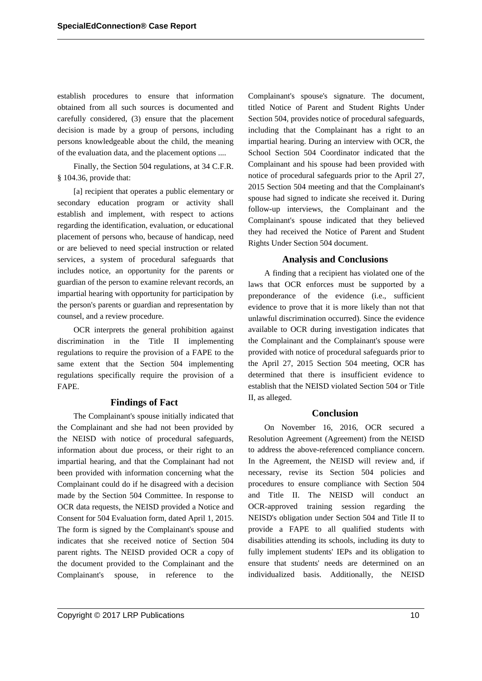establish procedures to ensure that information obtained from all such sources is documented and carefully considered, (3) ensure that the placement decision is made by a group of persons, including persons knowledgeable about the child, the meaning of the evaluation data, and the placement options ....

Finally, the Section 504 regulations, at 34 C.F.R. § 104.36, provide that:

[a] recipient that operates a public elementary or secondary education program or activity shall establish and implement, with respect to actions regarding the identification, evaluation, or educational placement of persons who, because of handicap, need or are believed to need special instruction or related services, a system of procedural safeguards that includes notice, an opportunity for the parents or guardian of the person to examine relevant records, an impartial hearing with opportunity for participation by the person's parents or guardian and representation by counsel, and a review procedure.

OCR interprets the general prohibition against discrimination in the Title II implementing regulations to require the provision of a FAPE to the same extent that the Section 504 implementing regulations specifically require the provision of a FAPE.

### **Findings of Fact**

The Complainant's spouse initially indicated that the Complainant and she had not been provided by the NEISD with notice of procedural safeguards, information about due process, or their right to an impartial hearing, and that the Complainant had not been provided with information concerning what the Complainant could do if he disagreed with a decision made by the Section 504 Committee. In response to OCR data requests, the NEISD provided a Notice and Consent for 504 Evaluation form, dated April 1, 2015. The form is signed by the Complainant's spouse and indicates that she received notice of Section 504 parent rights. The NEISD provided OCR a copy of the document provided to the Complainant and the Complainant's spouse, in reference to the Complainant's spouse's signature. The document, titled Notice of Parent and Student Rights Under Section 504, provides notice of procedural safeguards, including that the Complainant has a right to an impartial hearing. During an interview with OCR, the School Section 504 Coordinator indicated that the Complainant and his spouse had been provided with notice of procedural safeguards prior to the April 27, 2015 Section 504 meeting and that the Complainant's spouse had signed to indicate she received it. During follow-up interviews, the Complainant and the Complainant's spouse indicated that they believed they had received the Notice of Parent and Student Rights Under Section 504 document.

# **Analysis and Conclusions**

A finding that a recipient has violated one of the laws that OCR enforces must be supported by a preponderance of the evidence (i.e., sufficient evidence to prove that it is more likely than not that unlawful discrimination occurred). Since the evidence available to OCR during investigation indicates that the Complainant and the Complainant's spouse were provided with notice of procedural safeguards prior to the April 27, 2015 Section 504 meeting, OCR has determined that there is insufficient evidence to establish that the NEISD violated Section 504 or Title II, as alleged.

### **Conclusion**

On November 16, 2016, OCR secured a Resolution Agreement (Agreement) from the NEISD to address the above-referenced compliance concern. In the Agreement, the NEISD will review and, if necessary, revise its Section 504 policies and procedures to ensure compliance with Section 504 and Title II. The NEISD will conduct an OCR-approved training session regarding the NEISD's obligation under Section 504 and Title II to provide a FAPE to all qualified students with disabilities attending its schools, including its duty to fully implement students' IEPs and its obligation to ensure that students' needs are determined on an individualized basis. Additionally, the NEISD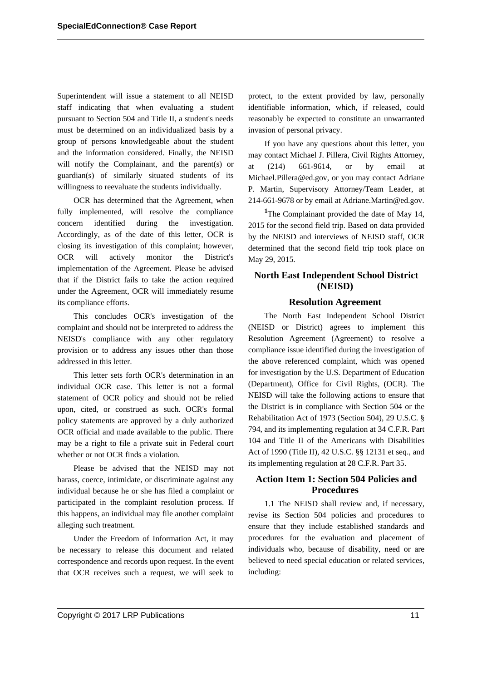Superintendent will issue a statement to all NEISD staff indicating that when evaluating a student pursuant to Section 504 and Title II, a student's needs must be determined on an individualized basis by a group of persons knowledgeable about the student and the information considered. Finally, the NEISD will notify the Complainant, and the parent(s) or guardian(s) of similarly situated students of its willingness to reevaluate the students individually.

OCR has determined that the Agreement, when fully implemented, will resolve the compliance concern identified during the investigation. Accordingly, as of the date of this letter, OCR is closing its investigation of this complaint; however, OCR will actively monitor the District's implementation of the Agreement. Please be advised that if the District fails to take the action required under the Agreement, OCR will immediately resume its compliance efforts.

This concludes OCR's investigation of the complaint and should not be interpreted to address the NEISD's compliance with any other regulatory provision or to address any issues other than those addressed in this letter.

This letter sets forth OCR's determination in an individual OCR case. This letter is not a formal statement of OCR policy and should not be relied upon, cited, or construed as such. OCR's formal policy statements are approved by a duly authorized OCR official and made available to the public. There may be a right to file a private suit in Federal court whether or not OCR finds a violation.

Please be advised that the NEISD may not harass, coerce, intimidate, or discriminate against any individual because he or she has filed a complaint or participated in the complaint resolution process. If this happens, an individual may file another complaint alleging such treatment.

Under the Freedom of Information Act, it may be necessary to release this document and related correspondence and records upon request. In the event that OCR receives such a request, we will seek to protect, to the extent provided by law, personally identifiable information, which, if released, could reasonably be expected to constitute an unwarranted invasion of personal privacy.

If you have any questions about this letter, you may contact Michael J. Pillera, Civil Rights Attorney, at (214) 661-9614, or by email at Michael.Pillera@ed.gov, or you may contact Adriane P. Martin, Supervisory Attorney/Team Leader, at 214-661-9678 or by email at Adriane.Martin@ed.gov.

<sup>1</sup>The Complainant provided the date of May 14, 2015 for the second field trip. Based on data provided by the NEISD and interviews of NEISD staff, OCR determined that the second field trip took place on May 29, 2015.

# **North East Independent School District (NEISD)**

### **Resolution Agreement**

The North East Independent School District (NEISD or District) agrees to implement this Resolution Agreement (Agreement) to resolve a compliance issue identified during the investigation of the above referenced complaint, which was opened for investigation by the U.S. Department of Education (Department), Office for Civil Rights, (OCR). The NEISD will take the following actions to ensure that the District is in compliance with Section 504 or the Rehabilitation Act of 1973 (Section 504), 29 U.S.C. § 794, and its implementing regulation at 34 C.F.R. Part 104 and Title II of the Americans with Disabilities Act of 1990 (Title II), 42 U.S.C. §§ 12131 et seq., and its implementing regulation at 28 C.F.R. Part 35.

# **Action Item 1: Section 504 Policies and Procedures**

1.1 The NEISD shall review and, if necessary, revise its Section 504 policies and procedures to ensure that they include established standards and procedures for the evaluation and placement of individuals who, because of disability, need or are believed to need special education or related services, including: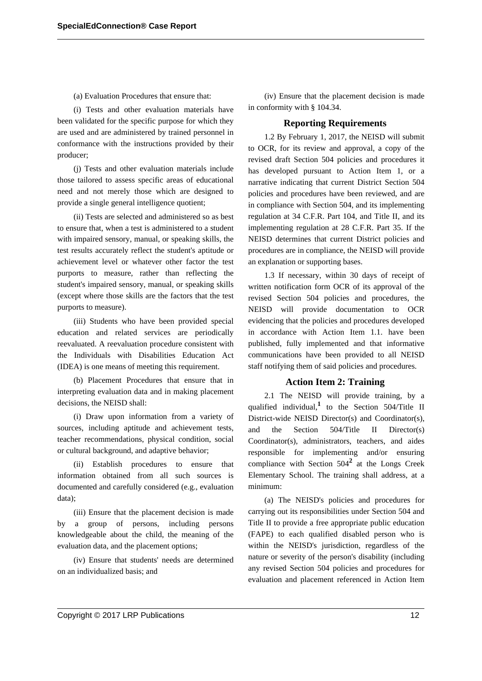#### (a) Evaluation Procedures that ensure that:

(i) Tests and other evaluation materials have been validated for the specific purpose for which they are used and are administered by trained personnel in conformance with the instructions provided by their producer;

(j) Tests and other evaluation materials include those tailored to assess specific areas of educational need and not merely those which are designed to provide a single general intelligence quotient;

(ii) Tests are selected and administered so as best to ensure that, when a test is administered to a student with impaired sensory, manual, or speaking skills, the test results accurately reflect the student's aptitude or achievement level or whatever other factor the test purports to measure, rather than reflecting the student's impaired sensory, manual, or speaking skills (except where those skills are the factors that the test purports to measure).

(iii) Students who have been provided special education and related services are periodically reevaluated. A reevaluation procedure consistent with the Individuals with Disabilities Education Act (IDEA) is one means of meeting this requirement.

(b) Placement Procedures that ensure that in interpreting evaluation data and in making placement decisions, the NEISD shall:

(i) Draw upon information from a variety of sources, including aptitude and achievement tests, teacher recommendations, physical condition, social or cultural background, and adaptive behavior;

(ii) Establish procedures to ensure that information obtained from all such sources is documented and carefully considered (e.g., evaluation data);

(iii) Ensure that the placement decision is made by a group of persons, including persons knowledgeable about the child, the meaning of the evaluation data, and the placement options;

(iv) Ensure that students' needs are determined on an individualized basis; and

(iv) Ensure that the placement decision is made in conformity with § 104.34.

#### **Reporting Requirements**

1.2 By February 1, 2017, the NEISD will submit to OCR, for its review and approval, a copy of the revised draft Section 504 policies and procedures it has developed pursuant to Action Item 1, or a narrative indicating that current District Section 504 policies and procedures have been reviewed, and are in compliance with Section 504, and its implementing regulation at 34 C.F.R. Part 104, and Title II, and its implementing regulation at 28 C.F.R. Part 35. If the NEISD determines that current District policies and procedures are in compliance, the NEISD will provide an explanation or supporting bases.

1.3 If necessary, within 30 days of receipt of written notification form OCR of its approval of the revised Section 504 policies and procedures, the NEISD will provide documentation to OCR evidencing that the policies and procedures developed in accordance with Action Item 1.1. have been published, fully implemented and that informative communications have been provided to all NEISD staff notifying them of said policies and procedures.

### **Action Item 2: Training**

2.1 The NEISD will provide training, by a qualified individual,**<sup>1</sup>** to the Section 504/Title II District-wide NEISD Director(s) and Coordinator(s), and the Section 504/Title II Director(s) Coordinator(s), administrators, teachers, and aides responsible for implementing and/or ensuring compliance with Section 504**<sup>2</sup>** at the Longs Creek Elementary School. The training shall address, at a minimum:

(a) The NEISD's policies and procedures for carrying out its responsibilities under Section 504 and Title II to provide a free appropriate public education (FAPE) to each qualified disabled person who is within the NEISD's jurisdiction, regardless of the nature or severity of the person's disability (including any revised Section 504 policies and procedures for evaluation and placement referenced in Action Item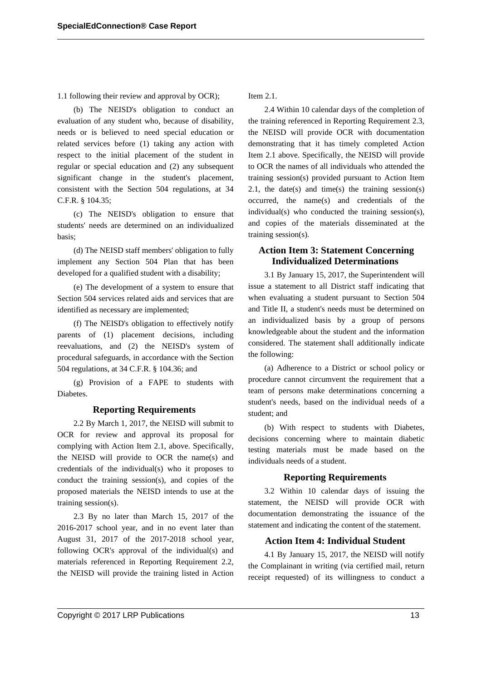1.1 following their review and approval by OCR);

(b) The NEISD's obligation to conduct an evaluation of any student who, because of disability, needs or is believed to need special education or related services before (1) taking any action with respect to the initial placement of the student in regular or special education and (2) any subsequent significant change in the student's placement, consistent with the Section 504 regulations, at 34 C.F.R. § 104.35;

(c) The NEISD's obligation to ensure that students' needs are determined on an individualized basis;

(d) The NEISD staff members' obligation to fully implement any Section 504 Plan that has been developed for a qualified student with a disability;

(e) The development of a system to ensure that Section 504 services related aids and services that are identified as necessary are implemented;

(f) The NEISD's obligation to effectively notify parents of (1) placement decisions, including reevaluations, and (2) the NEISD's system of procedural safeguards, in accordance with the Section 504 regulations, at 34 C.F.R. § 104.36; and

(g) Provision of a FAPE to students with Diabetes.

#### **Reporting Requirements**

2.2 By March 1, 2017, the NEISD will submit to OCR for review and approval its proposal for complying with Action Item 2.1, above. Specifically, the NEISD will provide to OCR the name(s) and credentials of the individual(s) who it proposes to conduct the training session(s), and copies of the proposed materials the NEISD intends to use at the training session(s).

2.3 By no later than March 15, 2017 of the 2016-2017 school year, and in no event later than August 31, 2017 of the 2017-2018 school year, following OCR's approval of the individual(s) and materials referenced in Reporting Requirement 2.2, the NEISD will provide the training listed in Action Item 2.1.

2.4 Within 10 calendar days of the completion of the training referenced in Reporting Requirement 2.3, the NEISD will provide OCR with documentation demonstrating that it has timely completed Action Item 2.1 above. Specifically, the NEISD will provide to OCR the names of all individuals who attended the training session(s) provided pursuant to Action Item 2.1, the date(s) and time(s) the training session(s) occurred, the name(s) and credentials of the individual(s) who conducted the training session(s), and copies of the materials disseminated at the training session(s).

# **Action Item 3: Statement Concerning Individualized Determinations**

3.1 By January 15, 2017, the Superintendent will issue a statement to all District staff indicating that when evaluating a student pursuant to Section 504 and Title II, a student's needs must be determined on an individualized basis by a group of persons knowledgeable about the student and the information considered. The statement shall additionally indicate the following:

(a) Adherence to a District or school policy or procedure cannot circumvent the requirement that a team of persons make determinations concerning a student's needs, based on the individual needs of a student; and

(b) With respect to students with Diabetes, decisions concerning where to maintain diabetic testing materials must be made based on the individuals needs of a student.

#### **Reporting Requirements**

3.2 Within 10 calendar days of issuing the statement, the NEISD will provide OCR with documentation demonstrating the issuance of the statement and indicating the content of the statement.

#### **Action Item 4: Individual Student**

4.1 By January 15, 2017, the NEISD will notify the Complainant in writing (via certified mail, return receipt requested) of its willingness to conduct a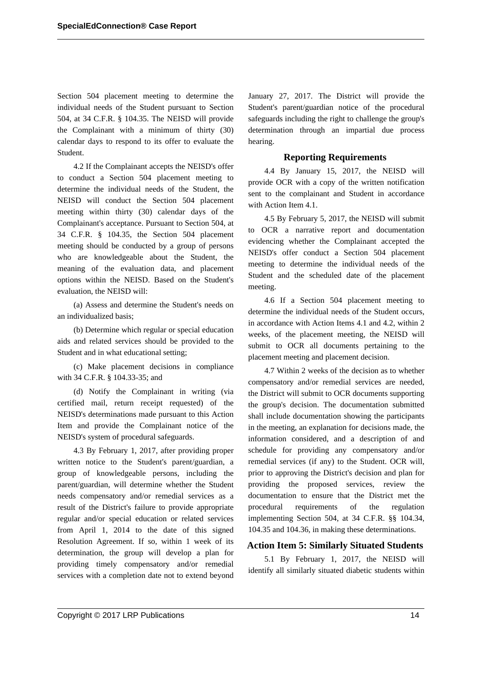Section 504 placement meeting to determine the individual needs of the Student pursuant to Section 504, at 34 C.F.R. § 104.35. The NEISD will provide the Complainant with a minimum of thirty (30) calendar days to respond to its offer to evaluate the Student.

4.2 If the Complainant accepts the NEISD's offer to conduct a Section 504 placement meeting to determine the individual needs of the Student, the NEISD will conduct the Section 504 placement meeting within thirty (30) calendar days of the Complainant's acceptance. Pursuant to Section 504, at 34 C.F.R. § 104.35, the Section 504 placement meeting should be conducted by a group of persons who are knowledgeable about the Student, the meaning of the evaluation data, and placement options within the NEISD. Based on the Student's evaluation, the NEISD will:

(a) Assess and determine the Student's needs on an individualized basis;

(b) Determine which regular or special education aids and related services should be provided to the Student and in what educational setting;

(c) Make placement decisions in compliance with 34 C.F.R. § 104.33-35; and

(d) Notify the Complainant in writing (via certified mail, return receipt requested) of the NEISD's determinations made pursuant to this Action Item and provide the Complainant notice of the NEISD's system of procedural safeguards.

4.3 By February 1, 2017, after providing proper written notice to the Student's parent/guardian, a group of knowledgeable persons, including the parent/guardian, will determine whether the Student needs compensatory and/or remedial services as a result of the District's failure to provide appropriate regular and/or special education or related services from April 1, 2014 to the date of this signed Resolution Agreement. If so, within 1 week of its determination, the group will develop a plan for providing timely compensatory and/or remedial services with a completion date not to extend beyond January 27, 2017. The District will provide the Student's parent/guardian notice of the procedural safeguards including the right to challenge the group's determination through an impartial due process hearing.

### **Reporting Requirements**

4.4 By January 15, 2017, the NEISD will provide OCR with a copy of the written notification sent to the complainant and Student in accordance with Action Item 4.1.

4.5 By February 5, 2017, the NEISD will submit to OCR a narrative report and documentation evidencing whether the Complainant accepted the NEISD's offer conduct a Section 504 placement meeting to determine the individual needs of the Student and the scheduled date of the placement meeting.

4.6 If a Section 504 placement meeting to determine the individual needs of the Student occurs, in accordance with Action Items 4.1 and 4.2, within 2 weeks, of the placement meeting, the NEISD will submit to OCR all documents pertaining to the placement meeting and placement decision.

4.7 Within 2 weeks of the decision as to whether compensatory and/or remedial services are needed, the District will submit to OCR documents supporting the group's decision. The documentation submitted shall include documentation showing the participants in the meeting, an explanation for decisions made, the information considered, and a description of and schedule for providing any compensatory and/or remedial services (if any) to the Student. OCR will, prior to approving the District's decision and plan for providing the proposed services, review the documentation to ensure that the District met the procedural requirements of the regulation implementing Section 504, at 34 C.F.R. §§ 104.34, 104.35 and 104.36, in making these determinations.

# **Action Item 5: Similarly Situated Students**

5.1 By February 1, 2017, the NEISD will identify all similarly situated diabetic students within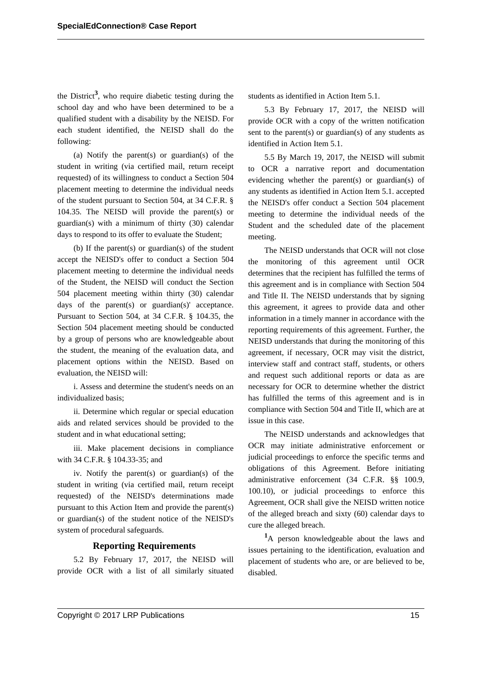the District**<sup>3</sup>** , who require diabetic testing during the school day and who have been determined to be a qualified student with a disability by the NEISD. For each student identified, the NEISD shall do the following:

(a) Notify the parent(s) or guardian(s) of the student in writing (via certified mail, return receipt requested) of its willingness to conduct a Section 504 placement meeting to determine the individual needs of the student pursuant to Section 504, at 34 C.F.R. § 104.35. The NEISD will provide the parent(s) or guardian(s) with a minimum of thirty (30) calendar days to respond to its offer to evaluate the Student;

(b) If the parent(s) or guardian(s) of the student accept the NEISD's offer to conduct a Section 504 placement meeting to determine the individual needs of the Student, the NEISD will conduct the Section 504 placement meeting within thirty (30) calendar days of the parent(s) or guardian(s)' acceptance. Pursuant to Section 504, at 34 C.F.R. § 104.35, the Section 504 placement meeting should be conducted by a group of persons who are knowledgeable about the student, the meaning of the evaluation data, and placement options within the NEISD. Based on evaluation, the NEISD will:

i. Assess and determine the student's needs on an individualized basis;

ii. Determine which regular or special education aids and related services should be provided to the student and in what educational setting;

iii. Make placement decisions in compliance with 34 C.F.R. § 104.33-35; and

iv. Notify the parent(s) or guardian(s) of the student in writing (via certified mail, return receipt requested) of the NEISD's determinations made pursuant to this Action Item and provide the parent(s) or guardian(s) of the student notice of the NEISD's system of procedural safeguards.

### **Reporting Requirements**

5.2 By February 17, 2017, the NEISD will provide OCR with a list of all similarly situated students as identified in Action Item 5.1.

5.3 By February 17, 2017, the NEISD will provide OCR with a copy of the written notification sent to the parent(s) or guardian(s) of any students as identified in Action Item 5.1.

5.5 By March 19, 2017, the NEISD will submit to OCR a narrative report and documentation evidencing whether the parent(s) or guardian(s) of any students as identified in Action Item 5.1. accepted the NEISD's offer conduct a Section 504 placement meeting to determine the individual needs of the Student and the scheduled date of the placement meeting.

The NEISD understands that OCR will not close the monitoring of this agreement until OCR determines that the recipient has fulfilled the terms of this agreement and is in compliance with Section 504 and Title II. The NEISD understands that by signing this agreement, it agrees to provide data and other information in a timely manner in accordance with the reporting requirements of this agreement. Further, the NEISD understands that during the monitoring of this agreement, if necessary, OCR may visit the district, interview staff and contract staff, students, or others and request such additional reports or data as are necessary for OCR to determine whether the district has fulfilled the terms of this agreement and is in compliance with Section 504 and Title II, which are at issue in this case.

The NEISD understands and acknowledges that OCR may initiate administrative enforcement or judicial proceedings to enforce the specific terms and obligations of this Agreement. Before initiating administrative enforcement (34 C.F.R. §§ 100.9, 100.10), or judicial proceedings to enforce this Agreement, OCR shall give the NEISD written notice of the alleged breach and sixty (60) calendar days to cure the alleged breach.

**<sup>1</sup>**A person knowledgeable about the laws and issues pertaining to the identification, evaluation and placement of students who are, or are believed to be, disabled.